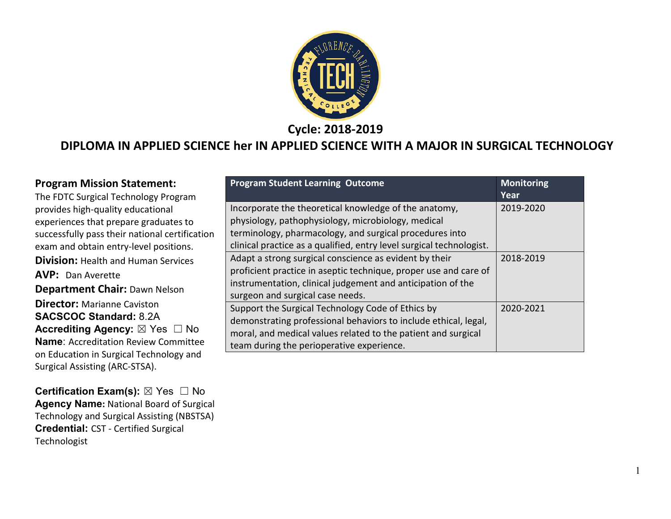

**Cycle: 2018-2019**

#### **DIPLOMA IN APPLIED SCIENCE her IN APPLIED SCIENCE WITH A MAJOR IN SURGICAL TECHNOLOGY**

| <b>Program Mission Statement:</b>                    | <b>Program Student Learning Outcome</b>                              | <b>Monitoring</b> |
|------------------------------------------------------|----------------------------------------------------------------------|-------------------|
| The FDTC Surgical Technology Program                 |                                                                      | Year              |
| provides high-quality educational                    | Incorporate the theoretical knowledge of the anatomy,                | 2019-2020         |
| experiences that prepare graduates to                | physiology, pathophysiology, microbiology, medical                   |                   |
| successfully pass their national certification       | terminology, pharmacology, and surgical procedures into              |                   |
| exam and obtain entry-level positions.               | clinical practice as a qualified, entry level surgical technologist. |                   |
| <b>Division: Health and Human Services</b>           | Adapt a strong surgical conscience as evident by their               | 2018-2019         |
| <b>AVP:</b> Dan Averette                             | proficient practice in aseptic technique, proper use and care of     |                   |
| <b>Department Chair: Dawn Nelson</b>                 | instrumentation, clinical judgement and anticipation of the          |                   |
|                                                      | surgeon and surgical case needs.                                     |                   |
| <b>Director:</b> Marianne Caviston                   | Support the Surgical Technology Code of Ethics by                    | 2020-2021         |
| <b>SACSCOC Standard: 8.2A</b>                        | demonstrating professional behaviors to include ethical, legal,      |                   |
| <b>Accrediting Agency:</b> $\boxtimes$ Yes $\Box$ No | moral, and medical values related to the patient and surgical        |                   |
| <b>Name: Accreditation Review Committee</b>          | team during the perioperative experience.                            |                   |
| on Education in Surgical Technology and              |                                                                      |                   |
| Surgical Assisting (ARC-STSA).                       |                                                                      |                   |

**Certification Exam(s):** ⊠ Yes □ No **Agency Name:** National Board of Surgical Technology and Surgical Assisting (NBSTSA) **Credential:** CST - Certified Surgical Technologist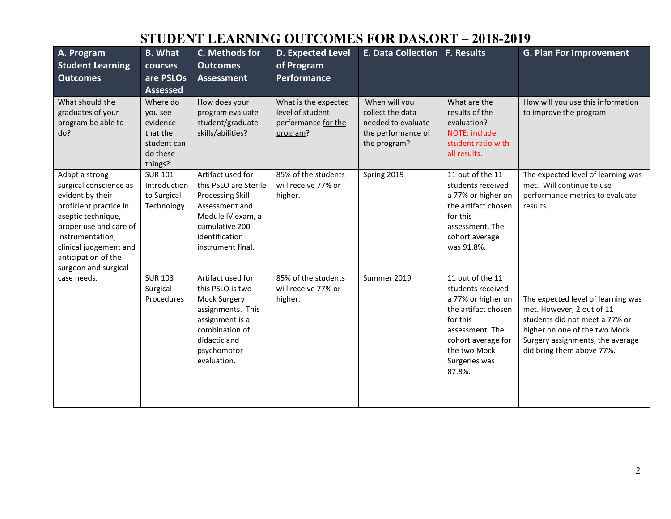# **STUDENT LEARNING OUTCOMES FOR DAS.ORT – 2018-2019**

| A. Program<br><b>Student Learning</b><br><b>Outcomes</b>                                                                                                                                                                            | <b>B.</b> What<br>courses<br>are PSLOs<br><b>Assessed</b>                         | C. Methods for<br><b>Outcomes</b><br><b>Assessment</b>                                                                                                                | D. Expected Level<br>of Program<br>Performance                              | <b>E. Data Collection F. Results</b>                                                          |                                                                                                                                                                                    | <b>G. Plan For Improvement</b>                                                                                                                                                                      |
|-------------------------------------------------------------------------------------------------------------------------------------------------------------------------------------------------------------------------------------|-----------------------------------------------------------------------------------|-----------------------------------------------------------------------------------------------------------------------------------------------------------------------|-----------------------------------------------------------------------------|-----------------------------------------------------------------------------------------------|------------------------------------------------------------------------------------------------------------------------------------------------------------------------------------|-----------------------------------------------------------------------------------------------------------------------------------------------------------------------------------------------------|
| What should the<br>graduates of your<br>program be able to<br>do?                                                                                                                                                                   | Where do<br>you see<br>evidence<br>that the<br>student can<br>do these<br>things? | How does your<br>program evaluate<br>student/graduate<br>skills/abilities?                                                                                            | What is the expected<br>level of student<br>performance for the<br>program? | When will you<br>collect the data<br>needed to evaluate<br>the performance of<br>the program? | What are the<br>results of the<br>evaluation?<br>NOTE: include<br>student ratio with<br>all results.                                                                               | How will you use this information<br>to improve the program                                                                                                                                         |
| Adapt a strong<br>surgical conscience as<br>evident by their<br>proficient practice in<br>aseptic technique,<br>proper use and care of<br>instrumentation,<br>clinical judgement and<br>anticipation of the<br>surgeon and surgical | <b>SUR 101</b><br>Introduction<br>to Surgical<br>Technology                       | Artifact used for<br>this PSLO are Sterile<br><b>Processing Skill</b><br>Assessment and<br>Module IV exam, a<br>cumulative 200<br>identification<br>instrument final. | 85% of the students<br>will receive 77% or<br>higher.                       | Spring 2019                                                                                   | 11 out of the 11<br>students received<br>a 77% or higher on<br>the artifact chosen<br>for this<br>assessment. The<br>cohort average<br>was 91.8%.                                  | The expected level of learning was<br>met. Will continue to use<br>performance metrics to evaluate<br>results.                                                                                      |
| case needs.                                                                                                                                                                                                                         | <b>SUR 103</b><br>Surgical<br>Procedures I                                        | Artifact used for<br>this PSLO is two<br>Mock Surgery<br>assignments. This<br>assignment is a<br>combination of<br>didactic and<br>psychomotor<br>evaluation.         | 85% of the students<br>will receive 77% or<br>higher.                       | Summer 2019                                                                                   | 11 out of the 11<br>students received<br>a 77% or higher on<br>the artifact chosen<br>for this<br>assessment. The<br>cohort average for<br>the two Mock<br>Surgeries was<br>87.8%. | The expected level of learning was<br>met. However, 2 out of 11<br>students did not meet a 77% or<br>higher on one of the two Mock<br>Surgery assignments, the average<br>did bring them above 77%. |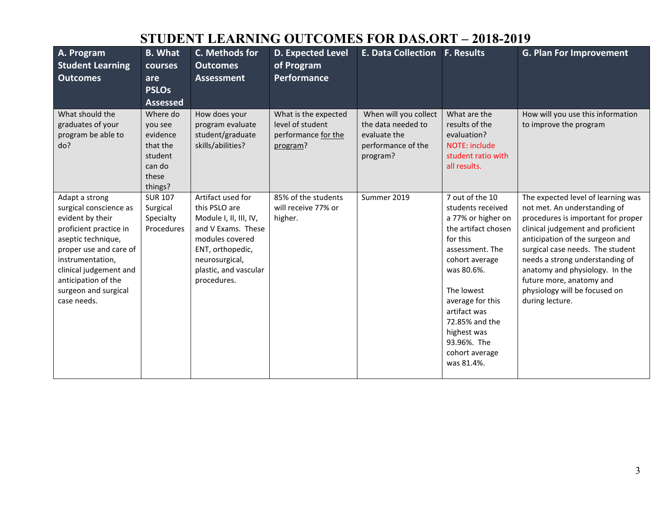# **STUDENT LEARNING OUTCOMES FOR DAS.ORT – 2018-2019**

| A. Program<br><b>Student Learning</b><br><b>Outcomes</b>                                                                                                                                                                                           | <b>B.</b> What<br><b>courses</b><br>are<br><b>PSLOs</b><br><b>Assessed</b>           | C. Methods for<br><b>Outcomes</b><br><b>Assessment</b>                                                                                                                              | <b>D. Expected Level</b><br>of Program<br><b>Performance</b>                | <b>E. Data Collection</b>                                                                     | <b>F. Results</b>                                                                                                                                                                                                                                                                  | G. Plan For Improvement                                                                                                                                                                                                                                                                                                                                                   |
|----------------------------------------------------------------------------------------------------------------------------------------------------------------------------------------------------------------------------------------------------|--------------------------------------------------------------------------------------|-------------------------------------------------------------------------------------------------------------------------------------------------------------------------------------|-----------------------------------------------------------------------------|-----------------------------------------------------------------------------------------------|------------------------------------------------------------------------------------------------------------------------------------------------------------------------------------------------------------------------------------------------------------------------------------|---------------------------------------------------------------------------------------------------------------------------------------------------------------------------------------------------------------------------------------------------------------------------------------------------------------------------------------------------------------------------|
| What should the<br>graduates of your<br>program be able to<br>do?                                                                                                                                                                                  | Where do<br>you see<br>evidence<br>that the<br>student<br>can do<br>these<br>things? | How does your<br>program evaluate<br>student/graduate<br>skills/abilities?                                                                                                          | What is the expected<br>level of student<br>performance for the<br>program? | When will you collect<br>the data needed to<br>evaluate the<br>performance of the<br>program? | What are the<br>results of the<br>evaluation?<br>NOTE: include<br>student ratio with<br>all results.                                                                                                                                                                               | How will you use this information<br>to improve the program                                                                                                                                                                                                                                                                                                               |
| Adapt a strong<br>surgical conscience as<br>evident by their<br>proficient practice in<br>aseptic technique,<br>proper use and care of<br>instrumentation,<br>clinical judgement and<br>anticipation of the<br>surgeon and surgical<br>case needs. | <b>SUR 107</b><br>Surgical<br>Specialty<br>Procedures                                | Artifact used for<br>this PSLO are<br>Module I, II, III, IV,<br>and V Exams. These<br>modules covered<br>ENT, orthopedic,<br>neurosurgical,<br>plastic, and vascular<br>procedures. | 85% of the students<br>will receive 77% or<br>higher.                       | Summer 2019                                                                                   | 7 out of the 10<br>students received<br>a 77% or higher on<br>the artifact chosen<br>for this<br>assessment. The<br>cohort average<br>was 80.6%.<br>The lowest<br>average for this<br>artifact was<br>72.85% and the<br>highest was<br>93.96%. The<br>cohort average<br>was 81.4%. | The expected level of learning was<br>not met. An understanding of<br>procedures is important for proper<br>clinical judgement and proficient<br>anticipation of the surgeon and<br>surgical case needs. The student<br>needs a strong understanding of<br>anatomy and physiology. In the<br>future more, anatomy and<br>physiology will be focused on<br>during lecture. |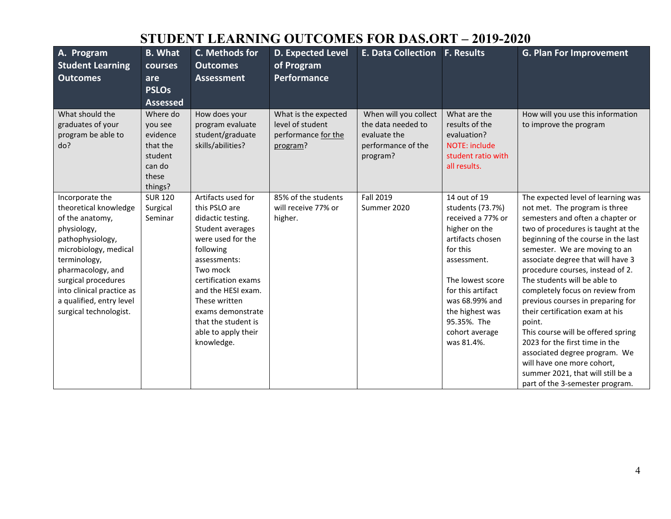# **STUDENT LEARNING OUTCOMES FOR DAS.ORT – 2019-2020**

| A. Program<br><b>Student Learning</b><br><b>Outcomes</b>                                                                                                                                                                                                               | <b>B.</b> What<br><b>courses</b><br>are<br><b>PSLOs</b><br><b>Assessed</b>           | C. Methods for<br><b>Outcomes</b><br><b>Assessment</b>                                                                                                                                                                                                                                    | <b>D. Expected Level</b><br>of Program<br>Performance                       | <b>E. Data Collection</b>                                                                     | <b>F. Results</b>                                                                                                                                                                                                                                  | <b>G. Plan For Improvement</b>                                                                                                                                                                                                                                                                                                                                                                                                                                                                                                                                                                                                                                     |
|------------------------------------------------------------------------------------------------------------------------------------------------------------------------------------------------------------------------------------------------------------------------|--------------------------------------------------------------------------------------|-------------------------------------------------------------------------------------------------------------------------------------------------------------------------------------------------------------------------------------------------------------------------------------------|-----------------------------------------------------------------------------|-----------------------------------------------------------------------------------------------|----------------------------------------------------------------------------------------------------------------------------------------------------------------------------------------------------------------------------------------------------|--------------------------------------------------------------------------------------------------------------------------------------------------------------------------------------------------------------------------------------------------------------------------------------------------------------------------------------------------------------------------------------------------------------------------------------------------------------------------------------------------------------------------------------------------------------------------------------------------------------------------------------------------------------------|
| What should the<br>graduates of your<br>program be able to<br>do?                                                                                                                                                                                                      | Where do<br>vou see<br>evidence<br>that the<br>student<br>can do<br>these<br>things? | How does your<br>program evaluate<br>student/graduate<br>skills/abilities?                                                                                                                                                                                                                | What is the expected<br>level of student<br>performance for the<br>program? | When will you collect<br>the data needed to<br>evaluate the<br>performance of the<br>program? | What are the<br>results of the<br>evaluation?<br><b>NOTE: include</b><br>student ratio with<br>all results.                                                                                                                                        | How will you use this information<br>to improve the program                                                                                                                                                                                                                                                                                                                                                                                                                                                                                                                                                                                                        |
| Incorporate the<br>theoretical knowledge<br>of the anatomy,<br>physiology,<br>pathophysiology,<br>microbiology, medical<br>terminology,<br>pharmacology, and<br>surgical procedures<br>into clinical practice as<br>a qualified, entry level<br>surgical technologist. | <b>SUR 120</b><br>Surgical<br>Seminar                                                | Artifacts used for<br>this PSLO are<br>didactic testing.<br>Student averages<br>were used for the<br>following<br>assessments:<br>Two mock<br>certification exams<br>and the HESI exam.<br>These written<br>exams demonstrate<br>that the student is<br>able to apply their<br>knowledge. | 85% of the students<br>will receive 77% or<br>higher.                       | <b>Fall 2019</b><br>Summer 2020                                                               | 14 out of 19<br>students (73.7%)<br>received a 77% or<br>higher on the<br>artifacts chosen<br>for this<br>assessment.<br>The lowest score<br>for this artifact<br>was 68.99% and<br>the highest was<br>95.35%. The<br>cohort average<br>was 81.4%. | The expected level of learning was<br>not met. The program is three<br>semesters and often a chapter or<br>two of procedures is taught at the<br>beginning of the course in the last<br>semester. We are moving to an<br>associate degree that will have 3<br>procedure courses, instead of 2.<br>The students will be able to<br>completely focus on review from<br>previous courses in preparing for<br>their certification exam at his<br>point.<br>This course will be offered spring<br>2023 for the first time in the<br>associated degree program. We<br>will have one more cohort,<br>summer 2021, that will still be a<br>part of the 3-semester program. |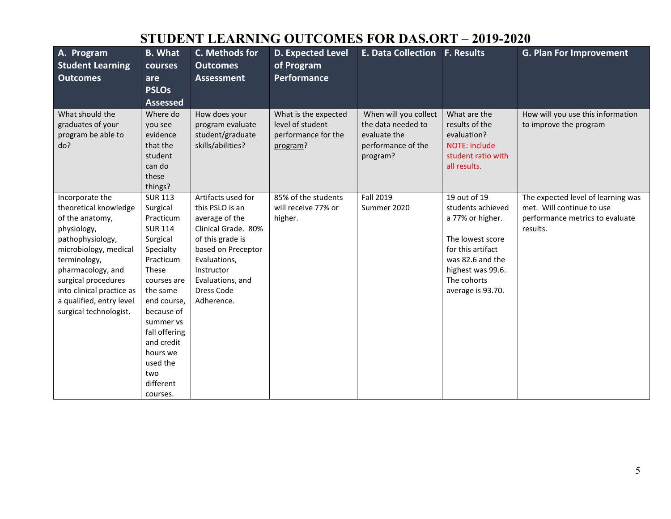# **STUDENT LEARNING OUTCOMES FOR DAS.ORT – 2019-2020**

| A. Program<br><b>Student Learning</b><br><b>Outcomes</b>                                                                                                                                                                                                               | <b>B.</b> What<br>courses<br>are<br><b>PSLOs</b>                                                                                                                                                                                                                     | C. Methods for<br><b>Outcomes</b><br><b>Assessment</b>                                                                                                                                                 | <b>D. Expected Level</b><br>of Program<br><b>Performance</b>                | <b>E. Data Collection F. Results</b>                                                          |                                                                                                                                                                             | <b>G. Plan For Improvement</b>                                                                                 |
|------------------------------------------------------------------------------------------------------------------------------------------------------------------------------------------------------------------------------------------------------------------------|----------------------------------------------------------------------------------------------------------------------------------------------------------------------------------------------------------------------------------------------------------------------|--------------------------------------------------------------------------------------------------------------------------------------------------------------------------------------------------------|-----------------------------------------------------------------------------|-----------------------------------------------------------------------------------------------|-----------------------------------------------------------------------------------------------------------------------------------------------------------------------------|----------------------------------------------------------------------------------------------------------------|
|                                                                                                                                                                                                                                                                        | <b>Assessed</b>                                                                                                                                                                                                                                                      |                                                                                                                                                                                                        |                                                                             |                                                                                               |                                                                                                                                                                             |                                                                                                                |
| What should the<br>graduates of your<br>program be able to<br>do?                                                                                                                                                                                                      | Where do<br>you see<br>evidence<br>that the<br>student<br>can do<br>these<br>things?                                                                                                                                                                                 | How does your<br>program evaluate<br>student/graduate<br>skills/abilities?                                                                                                                             | What is the expected<br>level of student<br>performance for the<br>program? | When will you collect<br>the data needed to<br>evaluate the<br>performance of the<br>program? | What are the<br>results of the<br>evaluation?<br><b>NOTE: include</b><br>student ratio with<br>all results.                                                                 | How will you use this information<br>to improve the program                                                    |
| Incorporate the<br>theoretical knowledge<br>of the anatomy,<br>physiology,<br>pathophysiology,<br>microbiology, medical<br>terminology,<br>pharmacology, and<br>surgical procedures<br>into clinical practice as<br>a qualified, entry level<br>surgical technologist. | <b>SUR 113</b><br>Surgical<br>Practicum<br><b>SUR 114</b><br>Surgical<br>Specialty<br>Practicum<br>These<br>courses are<br>the same<br>end course,<br>because of<br>summer vs<br>fall offering<br>and credit<br>hours we<br>used the<br>two<br>different<br>courses. | Artifacts used for<br>this PSLO is an<br>average of the<br>Clinical Grade. 80%<br>of this grade is<br>based on Preceptor<br>Evaluations,<br>Instructor<br>Evaluations, and<br>Dress Code<br>Adherence. | 85% of the students<br>will receive 77% or<br>higher.                       | Fall 2019<br>Summer 2020                                                                      | 19 out of 19<br>students achieved<br>a 77% or higher.<br>The lowest score<br>for this artifact<br>was 82.6 and the<br>highest was 99.6.<br>The cohorts<br>average is 93.70. | The expected level of learning was<br>met. Will continue to use<br>performance metrics to evaluate<br>results. |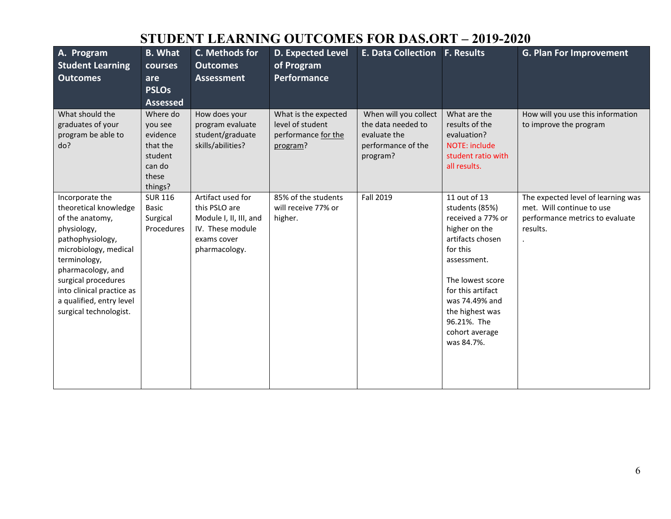# **STUDENT LEARNING OUTCOMES FOR DAS.ORT – 2019-2020**

| A. Program<br><b>Student Learning</b><br><b>Outcomes</b>                                                                                                                                                                                                               | <b>B.</b> What<br>courses<br>are<br><b>PSLOs</b><br><b>Assessed</b>                  | C. Methods for<br><b>Outcomes</b><br><b>Assessment</b>                                                           | <b>D. Expected Level</b><br>of Program<br><b>Performance</b>                | <b>E. Data Collection</b>                                                                     | <b>F. Results</b>                                                                                                                                                                                                                                | <b>G. Plan For Improvement</b>                                                                                 |
|------------------------------------------------------------------------------------------------------------------------------------------------------------------------------------------------------------------------------------------------------------------------|--------------------------------------------------------------------------------------|------------------------------------------------------------------------------------------------------------------|-----------------------------------------------------------------------------|-----------------------------------------------------------------------------------------------|--------------------------------------------------------------------------------------------------------------------------------------------------------------------------------------------------------------------------------------------------|----------------------------------------------------------------------------------------------------------------|
| What should the<br>graduates of your<br>program be able to<br>do?                                                                                                                                                                                                      | Where do<br>you see<br>evidence<br>that the<br>student<br>can do<br>these<br>things? | How does your<br>program evaluate<br>student/graduate<br>skills/abilities?                                       | What is the expected<br>level of student<br>performance for the<br>program? | When will you collect<br>the data needed to<br>evaluate the<br>performance of the<br>program? | What are the<br>results of the<br>evaluation?<br><b>NOTE: include</b><br>student ratio with<br>all results.                                                                                                                                      | How will you use this information<br>to improve the program                                                    |
| Incorporate the<br>theoretical knowledge<br>of the anatomy,<br>physiology,<br>pathophysiology,<br>microbiology, medical<br>terminology,<br>pharmacology, and<br>surgical procedures<br>into clinical practice as<br>a qualified, entry level<br>surgical technologist. | <b>SUR 116</b><br><b>Basic</b><br>Surgical<br>Procedures                             | Artifact used for<br>this PSLO are<br>Module I, II, III, and<br>IV. These module<br>exams cover<br>pharmacology. | 85% of the students<br>will receive 77% or<br>higher.                       | Fall 2019                                                                                     | 11 out of 13<br>students (85%)<br>received a 77% or<br>higher on the<br>artifacts chosen<br>for this<br>assessment.<br>The lowest score<br>for this artifact<br>was 74.49% and<br>the highest was<br>96.21%. The<br>cohort average<br>was 84.7%. | The expected level of learning was<br>met. Will continue to use<br>performance metrics to evaluate<br>results. |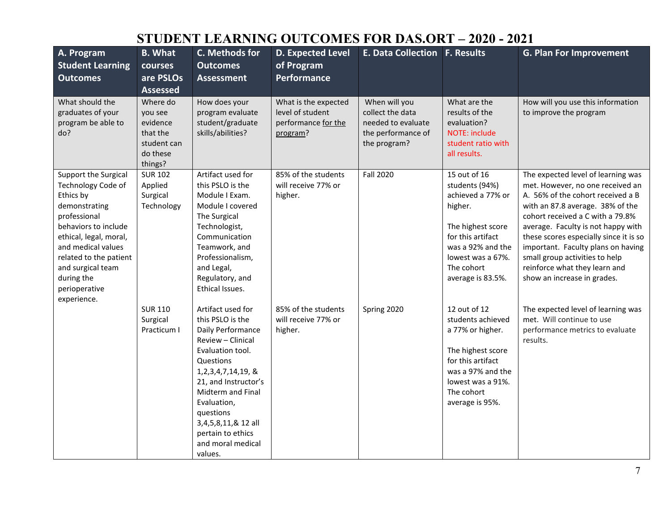#### **STUDENT LEARNING OUTCOMES FOR DAS.ORT – 2020 - 2021**

| A. Program<br><b>Student Learning</b><br><b>Outcomes</b>                                                                                                                                                                                                      | <b>B.</b> What<br>courses<br>are PSLOs                                                               | C. Methods for<br><b>Outcomes</b><br><b>Assessment</b>                                                                                                                                                                                                                                            | <b>D. Expected Level</b><br>of Program<br><b>Performance</b>                | <b>E. Data Collection F. Results</b>                                                          |                                                                                                                                                                                       | <b>G. Plan For Improvement</b>                                                                                                                                                                                                                                                                                                                                                                              |
|---------------------------------------------------------------------------------------------------------------------------------------------------------------------------------------------------------------------------------------------------------------|------------------------------------------------------------------------------------------------------|---------------------------------------------------------------------------------------------------------------------------------------------------------------------------------------------------------------------------------------------------------------------------------------------------|-----------------------------------------------------------------------------|-----------------------------------------------------------------------------------------------|---------------------------------------------------------------------------------------------------------------------------------------------------------------------------------------|-------------------------------------------------------------------------------------------------------------------------------------------------------------------------------------------------------------------------------------------------------------------------------------------------------------------------------------------------------------------------------------------------------------|
| What should the<br>graduates of your<br>program be able to<br>do?                                                                                                                                                                                             | <b>Assessed</b><br>Where do<br>you see<br>evidence<br>that the<br>student can<br>do these<br>things? | How does your<br>program evaluate<br>student/graduate<br>skills/abilities?                                                                                                                                                                                                                        | What is the expected<br>level of student<br>performance for the<br>program? | When will you<br>collect the data<br>needed to evaluate<br>the performance of<br>the program? | What are the<br>results of the<br>evaluation?<br>NOTE: include<br>student ratio with<br>all results.                                                                                  | How will you use this information<br>to improve the program                                                                                                                                                                                                                                                                                                                                                 |
| Support the Surgical<br>Technology Code of<br>Ethics by<br>demonstrating<br>professional<br>behaviors to include<br>ethical, legal, moral,<br>and medical values<br>related to the patient<br>and surgical team<br>during the<br>perioperative<br>experience. | <b>SUR 102</b><br>Applied<br>Surgical<br>Technology                                                  | Artifact used for<br>this PSLO is the<br>Module I Exam.<br>Module I covered<br>The Surgical<br>Technologist,<br>Communication<br>Teamwork, and<br>Professionalism,<br>and Legal,<br>Regulatory, and<br>Ethical Issues.                                                                            | 85% of the students<br>will receive 77% or<br>higher.                       | <b>Fall 2020</b>                                                                              | 15 out of 16<br>students (94%)<br>achieved a 77% or<br>higher.<br>The highest score<br>for this artifact<br>was a 92% and the<br>lowest was a 67%.<br>The cohort<br>average is 83.5%. | The expected level of learning was<br>met. However, no one received an<br>A. 56% of the cohort received a B<br>with an 87.8 average. 38% of the<br>cohort received a C with a 79.8%<br>average. Faculty is not happy with<br>these scores especially since it is so<br>important. Faculty plans on having<br>small group activities to help<br>reinforce what they learn and<br>show an increase in grades. |
|                                                                                                                                                                                                                                                               | <b>SUR 110</b><br>Surgical<br>Practicum I                                                            | Artifact used for<br>this PSLO is the<br>Daily Performance<br>Review - Clinical<br>Evaluation tool.<br>Questions<br>1, 2, 3, 4, 7, 14, 19, &<br>21, and Instructor's<br>Midterm and Final<br>Evaluation,<br>questions<br>3,4,5,8,11,& 12 all<br>pertain to ethics<br>and moral medical<br>values. | 85% of the students<br>will receive 77% or<br>higher.                       | Spring 2020                                                                                   | 12 out of 12<br>students achieved<br>a 77% or higher.<br>The highest score<br>for this artifact<br>was a 97% and the<br>lowest was a 91%.<br>The cohort<br>average is 95%.            | The expected level of learning was<br>met. Will continue to use<br>performance metrics to evaluate<br>results.                                                                                                                                                                                                                                                                                              |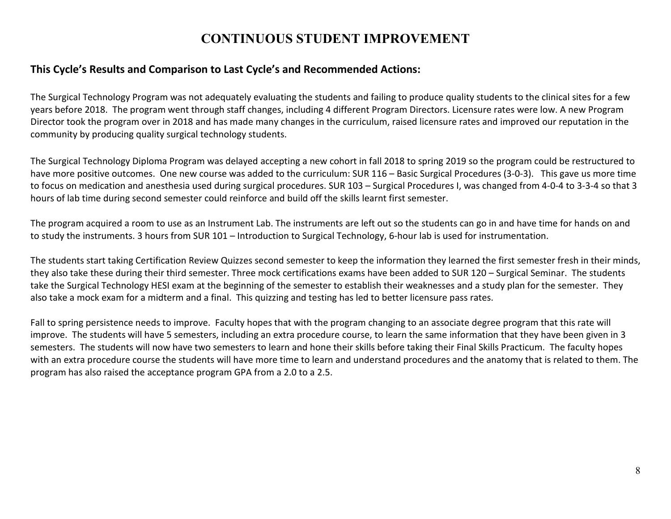#### **CONTINUOUS STUDENT IMPROVEMENT**

#### **This Cycle's Results and Comparison to Last Cycle's and Recommended Actions:**

The Surgical Technology Program was not adequately evaluating the students and failing to produce quality students to the clinical sites for a few years before 2018. The program went through staff changes, including 4 different Program Directors. Licensure rates were low. A new Program Director took the program over in 2018 and has made many changes in the curriculum, raised licensure rates and improved our reputation in the community by producing quality surgical technology students.

The Surgical Technology Diploma Program was delayed accepting a new cohort in fall 2018 to spring 2019 so the program could be restructured to have more positive outcomes. One new course was added to the curriculum: SUR 116 – Basic Surgical Procedures (3-0-3). This gave us more time to focus on medication and anesthesia used during surgical procedures. SUR 103 – Surgical Procedures I, was changed from 4-0-4 to 3-3-4 so that 3 hours of lab time during second semester could reinforce and build off the skills learnt first semester.

The program acquired a room to use as an Instrument Lab. The instruments are left out so the students can go in and have time for hands on and to study the instruments. 3 hours from SUR 101 – Introduction to Surgical Technology, 6-hour lab is used for instrumentation.

The students start taking Certification Review Quizzes second semester to keep the information they learned the first semester fresh in their minds, they also take these during their third semester. Three mock certifications exams have been added to SUR 120 – Surgical Seminar. The students take the Surgical Technology HESI exam at the beginning of the semester to establish their weaknesses and a study plan for the semester. They also take a mock exam for a midterm and a final. This quizzing and testing has led to better licensure pass rates.

Fall to spring persistence needs to improve. Faculty hopes that with the program changing to an associate degree program that this rate will improve. The students will have 5 semesters, including an extra procedure course, to learn the same information that they have been given in 3 semesters. The students will now have two semesters to learn and hone their skills before taking their Final Skills Practicum. The faculty hopes with an extra procedure course the students will have more time to learn and understand procedures and the anatomy that is related to them. The program has also raised the acceptance program GPA from a 2.0 to a 2.5.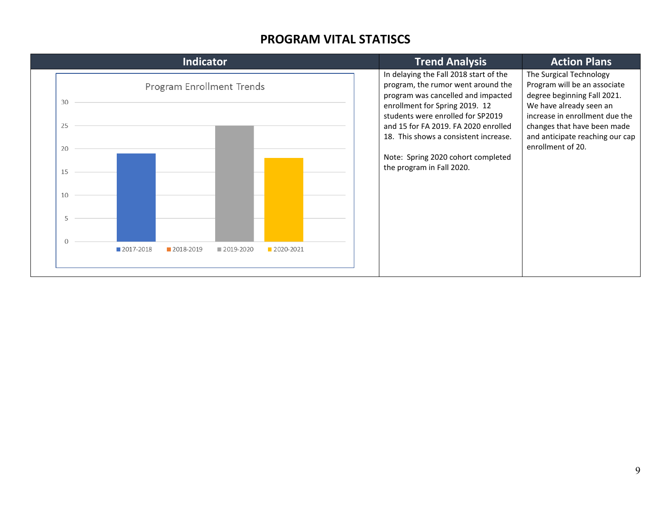#### **PROGRAM VITAL STATISCS**

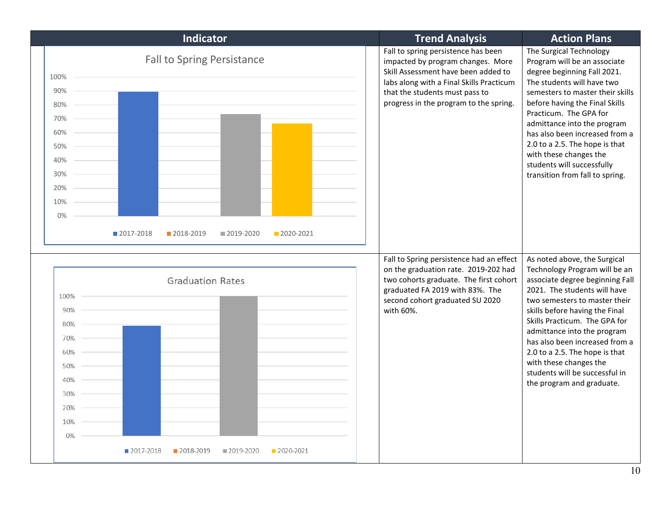| <b>Indicator</b>                                                                                                                                                         | <b>Trend Analysis</b>                                                                                                                                                                                                                   | <b>Action Plans</b>                                                                                                                                                                                                                                                                                                                                                                                                              |
|--------------------------------------------------------------------------------------------------------------------------------------------------------------------------|-----------------------------------------------------------------------------------------------------------------------------------------------------------------------------------------------------------------------------------------|----------------------------------------------------------------------------------------------------------------------------------------------------------------------------------------------------------------------------------------------------------------------------------------------------------------------------------------------------------------------------------------------------------------------------------|
| <b>Fall to Spring Persistance</b><br>100%<br>90%<br>80%<br>70%<br>60%<br>50%<br>40%<br>30%<br>20%<br>10%<br>0%<br>■ 2017-2018<br>2018-2019<br>■ 2020-2021<br>■ 2019-2020 | Fall to spring persistence has been<br>impacted by program changes. More<br>Skill Assessment have been added to<br>labs along with a Final Skills Practicum<br>that the students must pass to<br>progress in the program to the spring. | The Surgical Technology<br>Program will be an associate<br>degree beginning Fall 2021.<br>The students will have two<br>semesters to master their skills<br>before having the Final Skills<br>Practicum. The GPA for<br>admittance into the program<br>has also been increased from a<br>2.0 to a 2.5. The hope is that<br>with these changes the<br>students will successfully<br>transition from fall to spring.               |
| <b>Graduation Rates</b><br>100%<br>90%<br>80%<br>70%<br>60%<br>50%<br>40%<br>30%<br>20%<br>10%<br>0%<br>■ 2017-2018<br>2018-2019<br>■ 2019-2020<br>2020-2021             | Fall to Spring persistence had an effect<br>on the graduation rate. 2019-202 had<br>two cohorts graduate. The first cohort<br>graduated FA 2019 with 83%. The<br>second cohort graduated SU 2020<br>with 60%.                           | As noted above, the Surgical<br>Technology Program will be an<br>associate degree beginning Fall<br>2021. The students will have<br>two semesters to master their<br>skills before having the Final<br>Skills Practicum. The GPA for<br>admittance into the program<br>has also been increased from a<br>2.0 to a 2.5. The hope is that<br>with these changes the<br>students will be successful in<br>the program and graduate. |